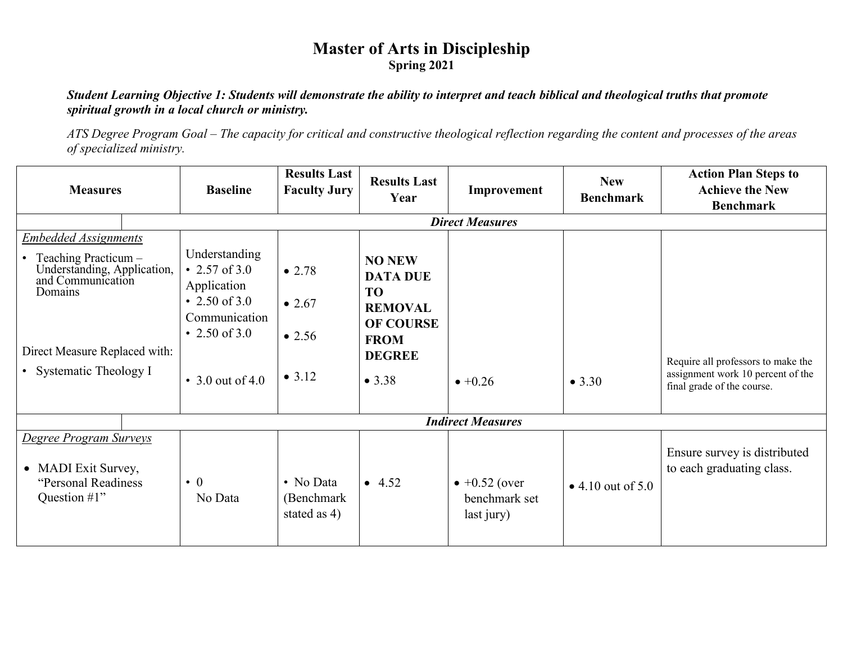# **Master of Arts in Discipleship Spring 2021**

#### *Student Learning Objective 1: Students will demonstrate the ability to interpret and teach biblical and theological truths that promote spiritual growth in a local church or ministry.*

*ATS Degree Program Goal – The capacity for critical and constructive theological reflection regarding the content and processes of the areas of specialized ministry.*

| <b>Measures</b>                                                                                                                                                                | <b>Baseline</b>                                                                                                            | <b>Results Last</b><br><b>Faculty Jury</b>   | <b>Results Last</b><br>Year                                                                                                   | Improvement                                          | <b>New</b><br><b>Benchmark</b> | <b>Action Plan Steps to</b><br><b>Achieve the New</b><br><b>Benchmark</b>                             |  |  |  |
|--------------------------------------------------------------------------------------------------------------------------------------------------------------------------------|----------------------------------------------------------------------------------------------------------------------------|----------------------------------------------|-------------------------------------------------------------------------------------------------------------------------------|------------------------------------------------------|--------------------------------|-------------------------------------------------------------------------------------------------------|--|--|--|
|                                                                                                                                                                                |                                                                                                                            | <b>Direct Measures</b>                       |                                                                                                                               |                                                      |                                |                                                                                                       |  |  |  |
| <b>Embedded Assignments</b><br>Teaching Practicum -<br>Understanding, Application,<br>and Communication<br>Domains<br>Direct Measure Replaced with:<br>• Systematic Theology I | Understanding<br>• 2.57 of 3.0<br>Application<br>• 2.50 of 3.0<br>Communication<br>• 2.50 of 3.0<br>$\cdot$ 3.0 out of 4.0 | • 2.78<br>$\bullet$ 2.67<br>• 2.56<br>• 3.12 | <b>NO NEW</b><br><b>DATA DUE</b><br><b>TO</b><br><b>REMOVAL</b><br><b>OF COURSE</b><br><b>FROM</b><br><b>DEGREE</b><br>• 3.38 | $\bullet +0.26$                                      | • 3.30                         | Require all professors to make the<br>assignment work 10 percent of the<br>final grade of the course. |  |  |  |
|                                                                                                                                                                                |                                                                                                                            |                                              |                                                                                                                               | <b>Indirect Measures</b>                             |                                |                                                                                                       |  |  |  |
| Degree Program Surveys<br>• MADI Exit Survey,<br>"Personal Readiness<br>Question #1"                                                                                           | $\bullet$ 0<br>No Data                                                                                                     | • No Data<br>(Benchmark<br>stated as 4)      | • 4.52                                                                                                                        | $\bullet +0.52$ (over<br>benchmark set<br>last jury) | • 4.10 out of $5.0$            | Ensure survey is distributed<br>to each graduating class.                                             |  |  |  |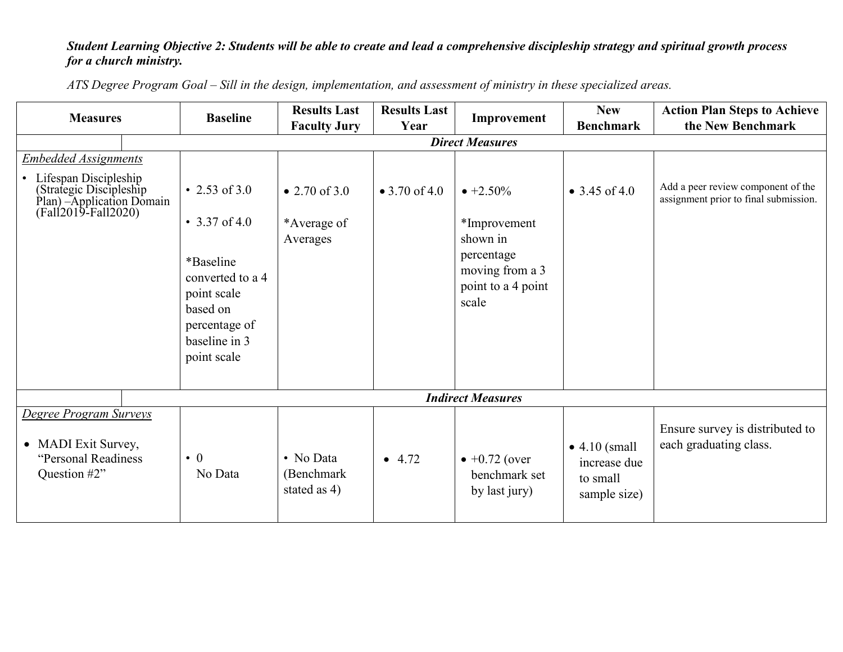## *Student Learning Objective 2: Students will be able to create and lead a comprehensive discipleship strategy and spiritual growth process for a church ministry.*

| <b>Measures</b>                                                                                                                           |  | <b>Baseline</b>                                                                                                                             | <b>Results Last</b><br><b>Faculty Jury</b> | <b>Results Last</b><br>Year | Improvement                                                                                                   | <b>New</b><br><b>Benchmark</b>                                    | <b>Action Plan Steps to Achieve</b><br>the New Benchmark                    |  |  |
|-------------------------------------------------------------------------------------------------------------------------------------------|--|---------------------------------------------------------------------------------------------------------------------------------------------|--------------------------------------------|-----------------------------|---------------------------------------------------------------------------------------------------------------|-------------------------------------------------------------------|-----------------------------------------------------------------------------|--|--|
|                                                                                                                                           |  | <b>Direct Measures</b>                                                                                                                      |                                            |                             |                                                                                                               |                                                                   |                                                                             |  |  |
| <b>Embedded Assignments</b><br>Lifespan Discipleship<br>(Strategic Discipleship)<br>Plan) - Application Domain<br>$(Fall2019 - Fal12020)$ |  | • 2.53 of 3.0<br>• 3.37 of 4.0<br>*Baseline<br>converted to a 4<br>point scale<br>based on<br>percentage of<br>baseline in 3<br>point scale | • 2.70 of 3.0<br>*Average of<br>Averages   | • 3.70 of 4.0               | $\bullet +2.50\%$<br>*Improvement<br>shown in<br>percentage<br>moving from a 3<br>point to a 4 point<br>scale | • 3.45 of 4.0                                                     | Add a peer review component of the<br>assignment prior to final submission. |  |  |
| <b>Indirect Measures</b>                                                                                                                  |  |                                                                                                                                             |                                            |                             |                                                                                                               |                                                                   |                                                                             |  |  |
| Degree Program Surveys                                                                                                                    |  |                                                                                                                                             |                                            |                             |                                                                                                               |                                                                   |                                                                             |  |  |
| • MADI Exit Survey,<br>"Personal Readiness<br>Question #2"                                                                                |  | $\bullet$ 0<br>No Data                                                                                                                      | • No Data<br>(Benchmark)<br>stated as 4)   | $-4.72$                     | $\bullet +0.72$ (over<br>benchmark set<br>by last jury)                                                       | $\bullet$ 4.10 (small<br>increase due<br>to small<br>sample size) | Ensure survey is distributed to<br>each graduating class.                   |  |  |

*ATS Degree Program Goal – Sill in the design, implementation, and assessment of ministry in these specialized areas.*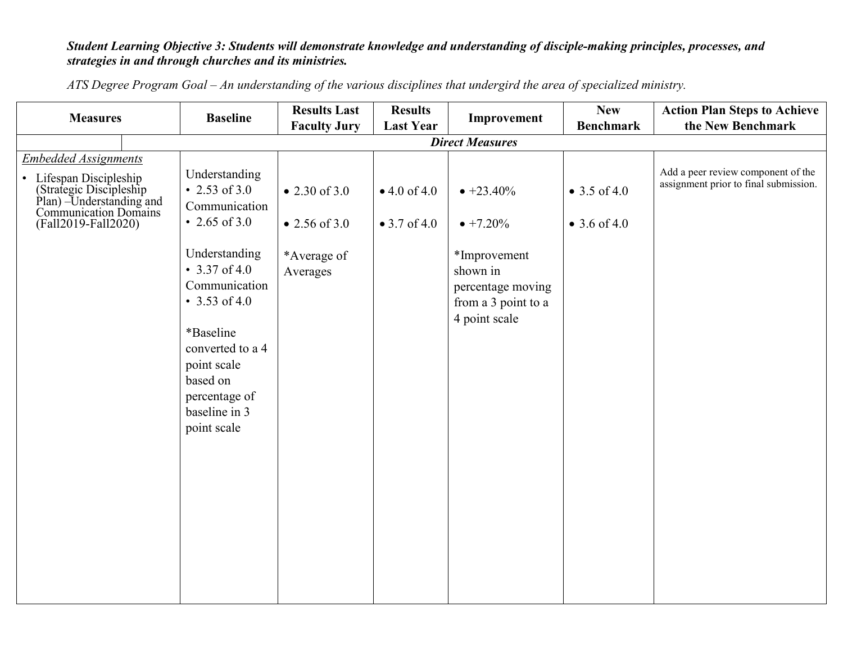## *Student Learning Objective 3: Students will demonstrate knowledge and understanding of disciple-making principles, processes, and strategies in and through churches and its ministries.*

|                                                                                                                                                              |                                                                                                                                                                                                                                                     | <b>Results Last</b>                                       | <b>Results</b>                       |                                                                                                                                  | <b>New</b>                   | <b>Action Plan Steps to Achieve</b>                                         |  |  |  |
|--------------------------------------------------------------------------------------------------------------------------------------------------------------|-----------------------------------------------------------------------------------------------------------------------------------------------------------------------------------------------------------------------------------------------------|-----------------------------------------------------------|--------------------------------------|----------------------------------------------------------------------------------------------------------------------------------|------------------------------|-----------------------------------------------------------------------------|--|--|--|
| <b>Measures</b>                                                                                                                                              | <b>Baseline</b>                                                                                                                                                                                                                                     | <b>Faculty Jury</b>                                       | <b>Last Year</b>                     | Improvement                                                                                                                      | <b>Benchmark</b>             | the New Benchmark                                                           |  |  |  |
| <b>Direct Measures</b>                                                                                                                                       |                                                                                                                                                                                                                                                     |                                                           |                                      |                                                                                                                                  |                              |                                                                             |  |  |  |
| <b>Embedded Assignments</b><br>Lifespan Discipleship<br>(Strategic Discipleship)<br>Plan) –Understanding and<br>Communication Domains<br>(Fall2019-Fall2020) | Understanding<br>• 2.53 of 3.0<br>Communication<br>• 2.65 of 3.0<br>Understanding<br>• $3.37$ of 4.0<br>Communication<br>• 3.53 of 4.0<br>*Baseline<br>converted to a 4<br>point scale<br>based on<br>percentage of<br>baseline in 3<br>point scale | • 2.30 of 3.0<br>• 2.56 of 3.0<br>*Average of<br>Averages | • 4.0 of 4.0<br>$\bullet$ 3.7 of 4.0 | $\bullet +23.40\%$<br>$\bullet +7.20\%$<br>*Improvement<br>shown in<br>percentage moving<br>from a 3 point to a<br>4 point scale | • 3.5 of 4.0<br>• 3.6 of 4.0 | Add a peer review component of the<br>assignment prior to final submission. |  |  |  |
|                                                                                                                                                              |                                                                                                                                                                                                                                                     |                                                           |                                      |                                                                                                                                  |                              |                                                                             |  |  |  |

*ATS Degree Program Goal – An understanding of the various disciplines that undergird the area of specialized ministry.*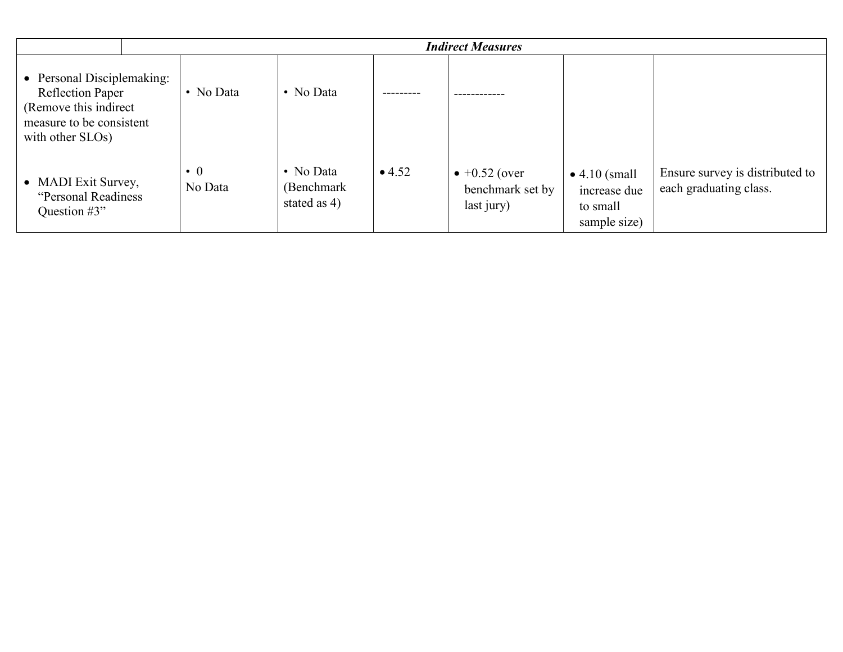|                                                                                                                                 | <b>Indirect Measures</b> |                                         |        |                                                         |                                                                   |                                                           |  |  |
|---------------------------------------------------------------------------------------------------------------------------------|--------------------------|-----------------------------------------|--------|---------------------------------------------------------|-------------------------------------------------------------------|-----------------------------------------------------------|--|--|
| • Personal Disciplemaking:<br><b>Reflection Paper</b><br>(Remove this indirect)<br>measure to be consistent<br>with other SLOs) | • No Data                | • No Data                               |        |                                                         |                                                                   |                                                           |  |  |
| • MADI Exit Survey,<br>"Personal Readiness"<br>Question $#3"$                                                                   | $\bullet$ 0<br>No Data   | • No Data<br>(Benchmark<br>stated as 4) | • 4.52 | $\bullet +0.52$ (over<br>benchmark set by<br>last jury) | $\bullet$ 4.10 (small<br>increase due<br>to small<br>sample size) | Ensure survey is distributed to<br>each graduating class. |  |  |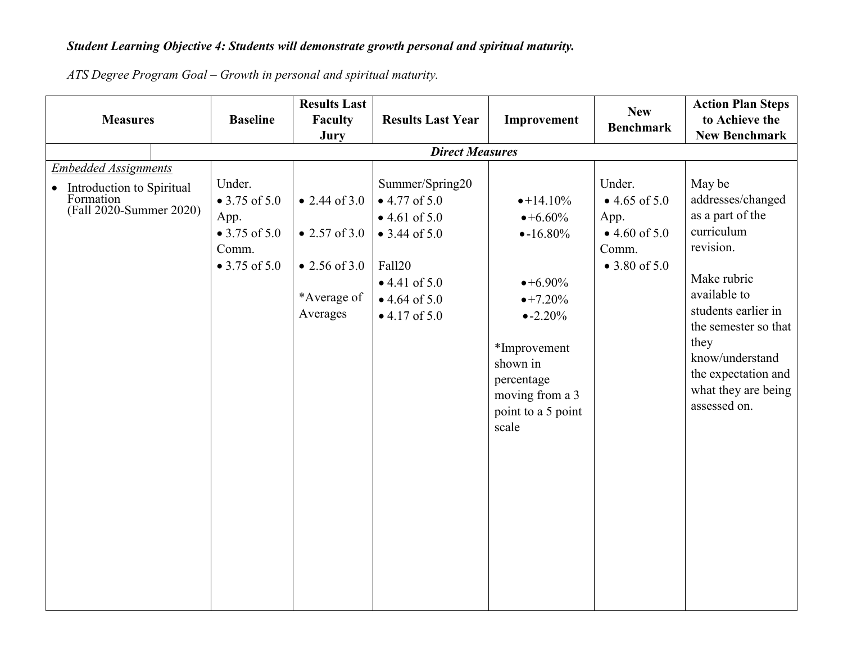#### *Student Learning Objective 4: Students will demonstrate growth personal and spiritual maturity.*

**Measures** Baseline **Results Last Faculty Jury Results Last Year Improvement New Benchmark Action Plan Steps to Achieve the New Benchmark** *Direct Measures Embedded Assignments* • Introduction to Spiritual Formation (Fall 2020-Summer 2020) Under. • 3.75 of 5.0 App. • 3.75 of 5.0 Comm. • 3.75 of 5.0 • 2.44 of 3.0 • 2.57 of  $3.0$ • 2.56 of 3.0 \*Average of Averages Summer/Spring20 • 4.77 of 5.0  $• 4.61 of 5.0$ • 3.44 of  $5.0$ Fall20 • 4.41 of 5.0  $• 4.64 of 5.0$  $\bullet$  4.17 of 5.0  $•+14.10%$  $•+6.60\%$  $\bullet$ -16.80%  $•+6.90\%$  $\bullet +7.20\%$  $\bullet$  -2.20% \*Improvement shown in percentage moving from a 3 point to a 5 point scale Under.  $• 4.65 of 5.0$ App.  $\bullet$  4.60 of 5.0 Comm.  $• 3.80 of 5.0$ May be addresses/changed as a part of the curriculum revision. Make rubric available to students earlier in the semester so that they know/understand the expectation and what they are being assessed on.

*ATS Degree Program Goal – Growth in personal and spiritual maturity.*